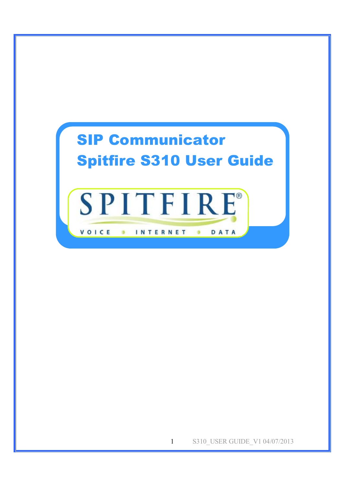

1 S310 USER GUIDE V1 04/07/2013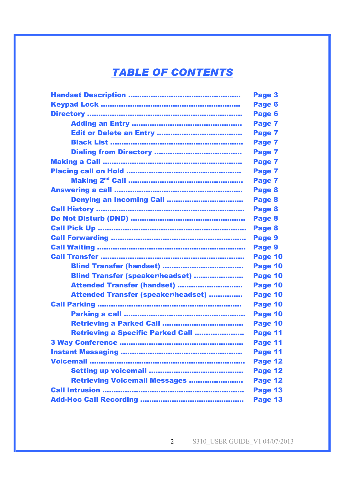# *TABLE OF CONTENTS*

| Page 3  |
|---------|
| Page 6  |
| Page 6  |
| Page 7  |
| Page 7  |
| Page 7  |
| Page 7  |
| Page 7  |
| Page 7  |
| Page 7  |
| Page 8  |
| Page 8  |
| Page 8  |
| Page 8  |
| Page 8  |
| Page 9  |
| Page 9  |
| Page 10 |
| Page 10 |
| Page 10 |
| Page 10 |
| Page 10 |
| Page 10 |
| Page 10 |
| Page 10 |
| Page 11 |
| Page 11 |
| Page 11 |
| Page 12 |
| Page 12 |
| Page 12 |
| Page 13 |
| Page 13 |
|         |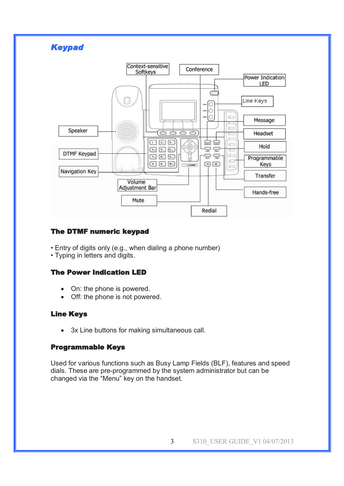

## **The DTMF numeric keypad**

- Entry of digits only (e.g., when dialing a phone number)
- Typing in letters and digits.

#### **The Power Indication LED**

- On: the phone is powered.
- Off: the phone is not powered.

### **Line Keys**

· 3x Line buttons for making simultaneous call.

#### **Programmable Keys**

Used for various functions such as Busy Lamp Fields (BLF), features and speed dials. These are pre-programmed by the system administrator but can be changed via the "Menu" key on the handset.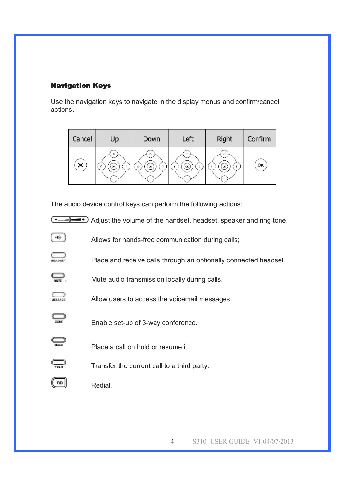# **Navigation Keys**

Use the navigation keys to navigate in the display menus and confirm/cancel actions.

| Cancel | Up | Down | Left | Right | Confirm   |
|--------|----|------|------|-------|-----------|
| ×      | оĸ | OK.  | CK   | OK.   | <b>OK</b> |

The audio device control keys can perform the following actions:



Allows for hands-free communication during calls;

- $\sum_{\text{HEADSET}}$ Place and receive calls through an optionally connected headset.
- ₽. Mute audio transmission locally during calls.
	- Allow users to access the voicemail messages.
		- Enable set-up of 3-way conference.
- $\subseteq$

 $\bigoplus_{\text{tan}}$ 

 $($ RD

 $\sum_{\text{MESAGE}}$ 

Ö

[ ન⊚ ]

Place a call on hold or resume it.

- Transfer the current call to a third party.
- Redial.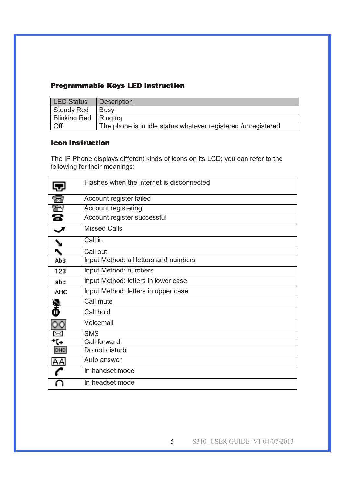# **Programmable Keys LED Instruction**

| <b>LED Status</b>      | <b>Description</b>                                            |
|------------------------|---------------------------------------------------------------|
| Steady Red             | <b>Busy</b>                                                   |
| Blinking Red   Ringing |                                                               |
| <b>Off</b>             | The phone is in idle status whatever registered /unregistered |

# **Icon Instruction**

The IP Phone displays different kinds of icons on its LCD; you can refer to the following for their meanings:

|              | Flashes when the internet is disconnected |
|--------------|-------------------------------------------|
|              | Account register failed                   |
| Ð            | Account registering                       |
| ß            | Account register successful               |
|              | <b>Missed Calls</b>                       |
| $\mathbf{v}$ | Call in                                   |
| ĸ,           | Call out                                  |
| Ab3          | Input Method: all letters and numbers     |
| 123          | Input Method: numbers                     |
| abc          | Input Method: letters in lower case       |
| <b>ABC</b>   | Input Method: letters in upper case       |
| Ņ            | Call mute                                 |
| Φ            | Call hold                                 |
| ЮO           | Voicemail                                 |
| ⊠            | <b>SMS</b>                                |
| ተርፉ          | Call forward                              |
| <b>DHD</b>   | Do not disturb                            |
| AA           | Auto answer                               |
|              | In handset mode                           |
|              | In headset mode                           |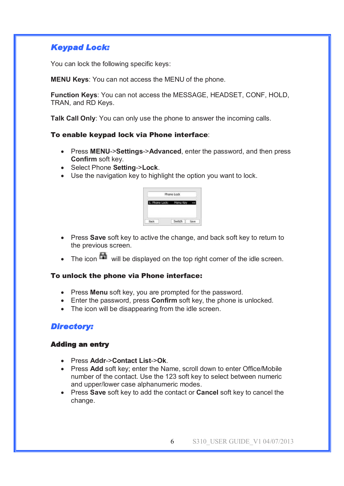# *Keypad Lock:*

You can lock the following specific keys:

**MENU Keys**: You can not access the MENU of the phone.

**Function Keys**: You can not access the MESSAGE, HEADSET, CONF, HOLD, TRAN, and RD Keys.

**Talk Call Only**: You can only use the phone to answer the incoming calls.

### To enable keypad lock via Phone interface:

- · Press **MENU**->**Settings**->**Advanced**, enter the password, and then press **Confirm** soft key.
- · Select Phone **Setting**->**Lock**.
- · Use the navigation key to highlight the option you want to lock.

| Phone Lock<br>monitoria |  |
|-------------------------|--|
|                         |  |
| Switch<br>¥             |  |

- · Press **Save** soft key to active the change, and back soft key to return to the previous screen.
- The icon  $\blacksquare$  will be displayed on the top right corner of the idle screen.

### To unlock the phone via Phone interface:

- · Press **Menu** soft key, you are prompted for the password.
- · Enter the password, press **Confirm** soft key, the phone is unlocked.
- · The icon will be disappearing from the idle screen.

# *Directory:*

## **Adding an entry**

- · Press **Addr**->**Contact List**->**Ok**.
- · Press **Add** soft key; enter the Name, scroll down to enter Office/Mobile number of the contact. Use the 123 soft key to select between numeric and upper/lower case alphanumeric modes.
- · Press **Save** soft key to add the contact or **Cancel** soft key to cancel the change.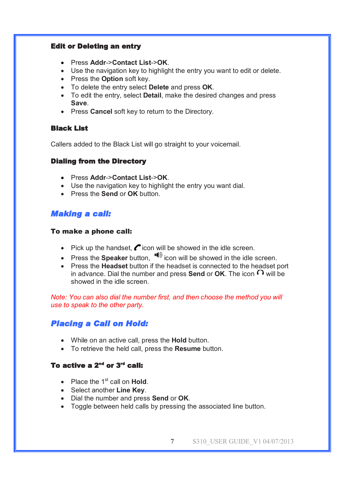### **Edit or Deleting an entry**

- · Press **Addr**->**Contact List**->**OK**.
- · Use the navigation key to highlight the entry you want to edit or delete.
- · Press the **Option** soft key.
- · To delete the entry select **Delete** and press **OK**.
- · To edit the entry, select **Detail**, make the desired changes and press **Save**.
- · Press **Cancel** soft key to return to the Directory.

### **Black List**

Callers added to the Black List will go straight to your voicemail.

## **Dialing from the Directory**

- · Press **Addr**->**Contact List**->**OK**.
- · Use the navigation key to highlight the entry you want dial.
- · Press the **Send** or **OK** button.

# *Making a call:*

### To make a phone call:

- Pick up the handset,  $\bullet$  icon will be showed in the idle screen.
- Press the **Speaker** button,  $\blacksquare$  icon will be showed in the idle screen.
- · Press the **Headset** button if the headset is connected to the headset port in advance. Dial the number and press **Send** or **OK**. The icon  $\Omega$  will be showed in the idle screen.

*Note: You can also dial the number first, and then choose the method you will use to speak to the other party.* 

# *Placing a Call on Hold:*

- · While on an active call, press the **Hold** button.
- · To retrieve the held call, press the **Resume** button.

# **To active a 2nd or 3rd call:**

- Place the 1<sup>st</sup> call on **Hold**.
- · Select another **Line Key**.
- · Dial the number and press **Send** or **OK**.
- · Toggle between held calls by pressing the associated line button.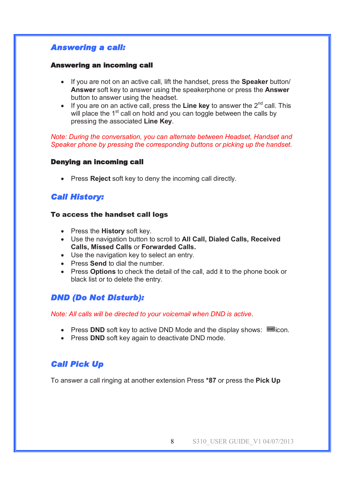# *Answering a call:*

### **Answering an incoming call**

- · If you are not on an active call, lift the handset, press the **Speaker** button/ **Answer** soft key to answer using the speakerphone or press the **Answer**  button to answer using the headset.
- · If you are on an active call, press the **Line key** to answer the 2nd call. This will place the  $1<sup>st</sup>$  call on hold and you can toggle between the calls by pressing the associated **Line Key**.

#### *Note: During the conversation, you can alternate between Headset, Handset and Speaker phone by pressing the corresponding buttons or picking up the handset*.

### **Denying an incoming call**

· Press **Reject** soft key to deny the incoming call directly.

# *Call History:*

### To access the handset call logs

- · Press the **History** soft key.
- · Use the navigation button to scroll to **All Call, Dialed Calls, Received Calls, Missed Calls** or **Forwarded Calls.**
- · Use the navigation key to select an entry.
- · Press **Send** to dial the number.
- · Press **Options** to check the detail of the call, add it to the phone book or black list or to delete the entry.

# *DND (Do Not Disturb):*

*Note: All calls will be directed to your voicemail when DND is active*.

- Press **DND** soft key to active DND Mode and the display shows:  $\text{min}$  con.
- · Press **DND** soft key again to deactivate DND mode.

# *Call Pick Up*

To answer a call ringing at another extension Press **\*87** or press the **Pick Up**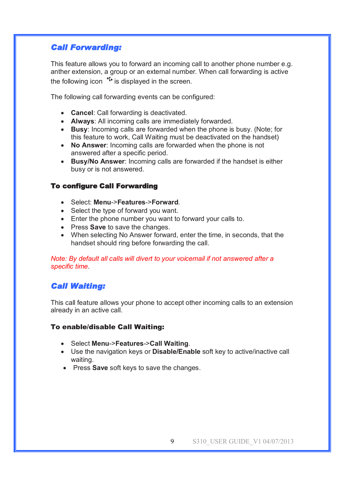# *Call Forwarding:*

This feature allows you to forward an incoming call to another phone number e.g. anther extension, a group or an external number. When call forwarding is active the following icon  $i^{(k)}$  is displayed in the screen.

The following call forwarding events can be configured:

- · **Cancel**: Call forwarding is deactivated.
- · **Always**: All incoming calls are immediately forwarded.
- · **Busy**: Incoming calls are forwarded when the phone is busy. (Note; for this feature to work, Call Waiting must be deactivated on the handset)
- · **No Answer**: Incoming calls are forwarded when the phone is not answered after a specific period.
- · **Busy/No Answer**: Incoming calls are forwarded if the handset is either busy or is not answered.

## **To configure Call Forwarding**

- · Select: **Menu**->**Features**->**Forward**.
- · Select the type of forward you want.
- · Enter the phone number you want to forward your calls to.
- · Press **Save** to save the changes.
- · When selecting No Answer forward, enter the time, in seconds, that the handset should ring before forwarding the call.

### *Note: By default all calls will divert to your voicemail if not answered after a specific time.*

# *Call Waiting:*

This call feature allows your phone to accept other incoming calls to an extension already in an active call.

### To enable/disable Call Waiting:

- · Select **Menu**->**Features**->**Call Waiting**.
- · Use the navigation keys or **Disable/Enable** soft key to active/inactive call waiting.
- · Press **Save** soft keys to save the changes.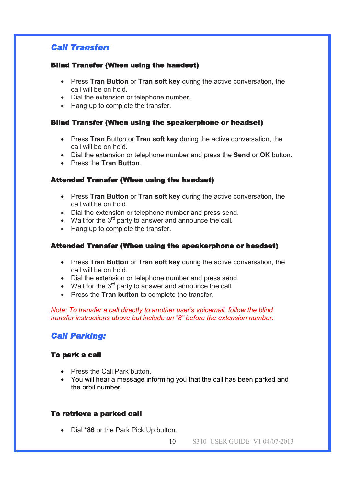# *Call Transfer:*

### **Blind Transfer (When using the handset)**

- · Press **Tran Button** or **Tran soft key** during the active conversation, the call will be on hold.
- · Dial the extension or telephone number.
- · Hang up to complete the transfer.

### **Blind Transfer (When using the speakerphone or headset)**

- · Press **Tran** Button or **Tran soft key** during the active conversation, the call will be on hold.
- · Dial the extension or telephone number and press the **Send** or **OK** button.
- · Press the **Tran Button**.

## **Attended Transfer (When using the handset)**

- · Press **Tran Button** or **Tran soft key** during the active conversation, the call will be on hold.
- · Dial the extension or telephone number and press send.
- Wait for the  $3<sup>rd</sup>$  party to answer and announce the call.
- Hang up to complete the transfer.

## **Attended Transfer (When using the speakerphone or headset)**

- · Press **Tran Button** or **Tran soft key** during the active conversation, the call will be on hold.
- · Dial the extension or telephone number and press send.
- Wait for the  $3<sup>rd</sup>$  party to answer and announce the call.
- · Press the **Tran button** to complete the transfer.

### *Note: To transfer a call directly to another user's voicemail, follow the blind transfer instructions above but include an "8" before the extension number.*

# *Call Parking:*

## **To park a call**

- · Press the Call Park button.
- · You will hear a message informing you that the call has been parked and the orbit number.

## **To retrieve a parked call**

- · Dial **\*86** or the Park Pick Up button.
	- 10 S310 USER GUIDE V1 04/07/2013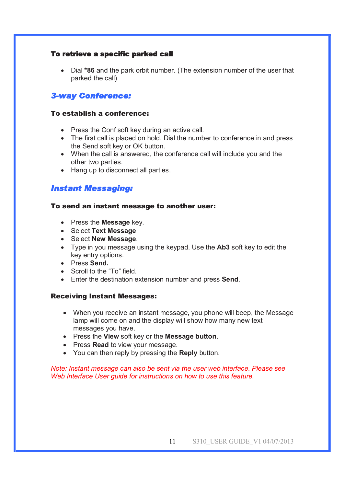### **To retrieve a specific parked call**

· Dial **\*86** and the park orbit number. (The extension number of the user that parked the call)

# *3-way Conference:*

### To establish a conference:

- · Press the Conf soft key during an active call.
- The first call is placed on hold. Dial the number to conference in and press the Send soft key or OK button.
- · When the call is answered, the conference call will include you and the other two parties.
- Hang up to disconnect all parties.

# *Instant Messaging:*

### To send an instant message to another user:

- · Press the **Message** key.
- · Select **Text Message**
- · Select **New Message**.
- · Type in you message using the keypad. Use the **Ab3** soft key to edit the key entry options.
- · Press **Send.**
- · Scroll to the "To" field.
- · Enter the destination extension number and press **Send**.

### Receiving Instant Messages:

- · When you receive an instant message, you phone will beep, the Message lamp will come on and the display will show how many new text messages you have.
- · Press the **View** soft key or the **Message button**.
- · Press **Read** to view your message.
- · You can then reply by pressing the **Reply** button.

### *Note: Instant message can also be sent via the user web interface. Please see Web Interface User guide for instructions on how to use this feature.*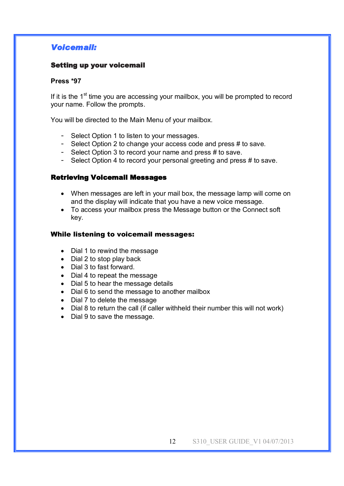# *Voicemail:*

### **Setting up your voicemail**

#### **Press \*97**

If it is the  $1<sup>st</sup>$  time you are accessing your mailbox, you will be prompted to record your name. Follow the prompts.

You will be directed to the Main Menu of your mailbox.

- Select Option 1 to listen to your messages.
- Select Option 2 to change your access code and press # to save.
- Select Option 3 to record your name and press # to save.
- Select Option 4 to record your personal greeting and press # to save.

### **Retrieving Voicemail Messages**

- · When messages are left in your mail box, the message lamp will come on and the display will indicate that you have a new voice message.
- · To access your mailbox press the Message button or the Connect soft key.

#### While listening to voicemail messages:

- Dial 1 to rewind the message
- · Dial 2 to stop play back
- · Dial 3 to fast forward.
- · Dial 4 to repeat the message
- · Dial 5 to hear the message details
- · Dial 6 to send the message to another mailbox
- · Dial 7 to delete the message
- · Dial 8 to return the call (if caller withheld their number this will not work)
- · Dial 9 to save the message.